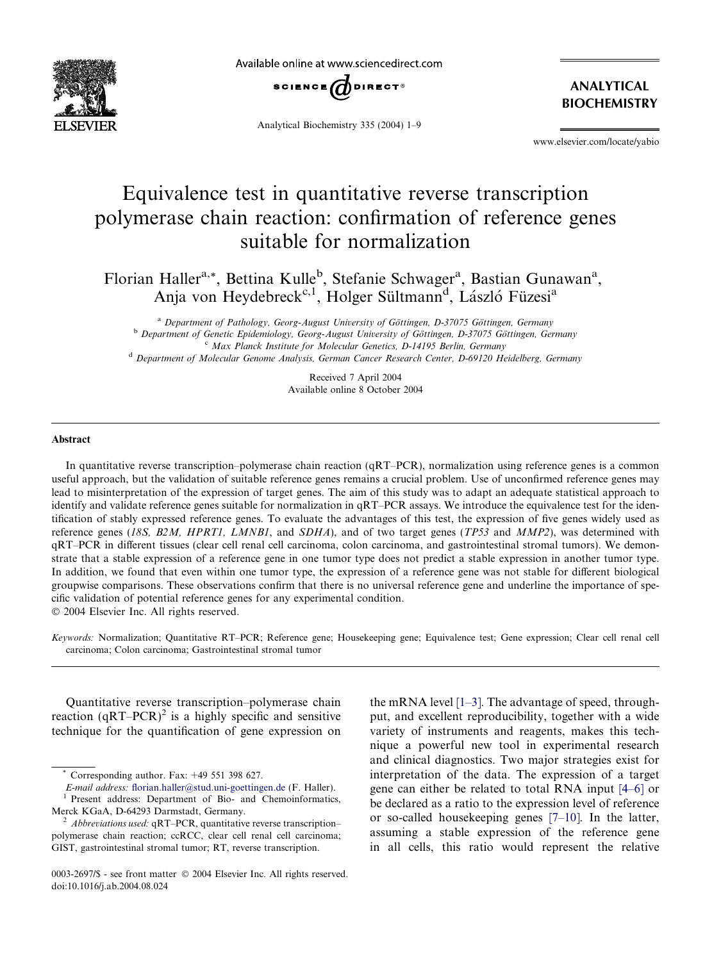

Available online at www.sciencedirect.com



Analytical Biochemistry 335 (2004) 1–9

ANALYTICAL BIOCHEMISTRY

www.elsevier.com/locate/yabio

# Equivalence test in quantitative reverse transcription polymerase chain reaction: confirmation of reference genes suitable for normalization

Florian Haller<sup>a,\*</sup>, Bettina Kulle<sup>b</sup>, Stefanie Schwager<sup>a</sup>, Bastian Gunawan<sup>a</sup>, Anja von Heydebreck<sup>c, 1</sup>, Holger Sültmann<sup>d</sup>, László Füzesi<sup>a</sup>

<sup>a</sup> Department of Pathology, Georg-August University of Göttingen, D-37075 Göttingen, Germany<br><sup>b</sup> Department of Genetic Epidemiology, Georg-August University of Göttingen, D-37075 Göttingen, Germany<br><sup>c</sup> Max Planck Institu <sup>d</sup> Department of Molecular Genome Analysis, German Cancer Research Center, D-69120 Heidelberg, Germany

> Received 7 April 2004 Available online 8 October 2004

#### Abstract

In quantitative reverse transcription–polymerase chain reaction (qRT–PCR), normalization using reference genes is a common useful approach, but the validation of suitable reference genes remains a crucial problem. Use of unconfirmed reference genes may lead to misinterpretation of the expression of target genes. The aim of this study was to adapt an adequate statistical approach to identify and validate reference genes suitable for normalization in qRT–PCR assays. We introduce the equivalence test for the identification of stably expressed reference genes. To evaluate the advantages of this test, the expression of five genes widely used as reference genes (18S, B2M, HPRT1, LMNB1, and SDHA), and of two target genes (TP53 and MMP2), was determined with qRT–PCR in different tissues (clear cell renal cell carcinoma, colon carcinoma, and gastrointestinal stromal tumors). We demonstrate that a stable expression of a reference gene in one tumor type does not predict a stable expression in another tumor type. In addition, we found that even within one tumor type, the expression of a reference gene was not stable for different biological groupwise comparisons. These observations confirm that there is no universal reference gene and underline the importance of specific validation of potential reference genes for any experimental condition. 2004 Elsevier Inc. All rights reserved.

Keywords: Normalization; Quantitative RT–PCR; Reference gene; Housekeeping gene; Equivalence test; Gene expression; Clear cell renal cell carcinoma; Colon carcinoma; Gastrointestinal stromal tumor

Quantitative reverse transcription–polymerase chain reaction  $(qRT-PCR)^2$  is a highly specific and sensitive technique for the quantification of gene expression on

Corresponding author. Fax:  $+49$  551 398 627.

E-mail address: [florian.haller@stud.uni-goettingen.de](mailto:florian.haller@stud.uni-goettingen.de ) (F. Haller).<br><sup>1</sup> Present address: Department of Bio- and Chemoinformatics,

the mRNA level [\[1–3\]](#page-7-0). The advantage of speed, throughput, and excellent reproducibility, together with a wide variety of instruments and reagents, makes this technique a powerful new tool in experimental research and clinical diagnostics. Two major strategies exist for interpretation of the data. The expression of a target gene can either be related to total RNA input [\[4–6\]](#page-7-0) or be declared as a ratio to the expression level of reference or so-called housekeeping genes [\[7–10\].](#page-7-0) In the latter, assuming a stable expression of the reference gene in all cells, this ratio would represent the relative

Merck KGaA, D-64293 Darmstadt, Germany.<br>
<sup>2</sup> Abbreviations used: qRT–PCR, quantitative reverse transcription–

polymerase chain reaction; ccRCC, clear cell renal cell carcinoma; GIST, gastrointestinal stromal tumor; RT, reverse transcription.

<sup>0003-2697/\$ -</sup> see front matter © 2004 Elsevier Inc. All rights reserved. doi:10.1016/j.ab.2004.08.024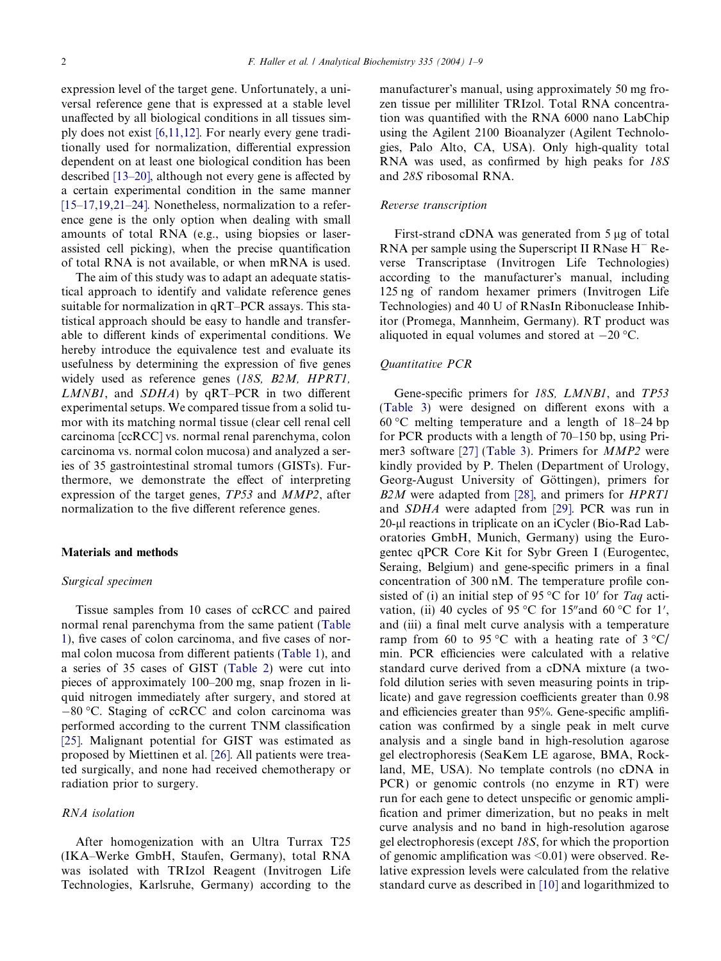expression level of the target gene. Unfortunately, a universal reference gene that is expressed at a stable level unaffected by all biological conditions in all tissues simply does not exist [\[6,11,12\]](#page-7-0). For nearly every gene traditionally used for normalization, differential expression dependent on at least one biological condition has been described [\[13–20\],](#page-7-0) although not every gene is affected by a certain experimental condition in the same manner [\[15–17,19,21–24\]](#page-7-0). Nonetheless, normalization to a reference gene is the only option when dealing with small amounts of total RNA (e.g., using biopsies or laserassisted cell picking), when the precise quantification of total RNA is not available, or when mRNA is used.

The aim of this study was to adapt an adequate statistical approach to identify and validate reference genes suitable for normalization in qRT–PCR assays. This statistical approach should be easy to handle and transferable to different kinds of experimental conditions. We hereby introduce the equivalence test and evaluate its usefulness by determining the expression of five genes widely used as reference genes (18S, B2M, HPRT1, LMNB1, and SDHA) by qRT–PCR in two different experimental setups. We compared tissue from a solid tumor with its matching normal tissue (clear cell renal cell carcinoma [ccRCC] vs. normal renal parenchyma, colon carcinoma vs. normal colon mucosa) and analyzed a series of 35 gastrointestinal stromal tumors (GISTs). Furthermore, we demonstrate the effect of interpreting expression of the target genes, TP53 and MMP2, after normalization to the five different reference genes.

# Materials and methods

#### Surgical specimen

Tissue samples from 10 cases of ccRCC and paired normal renal parenchyma from the same patient [\(Table](#page-2-0) [1\)](#page-2-0), five cases of colon carcinoma, and five cases of normal colon mucosa from different patients ([Table 1\)](#page-2-0), and a series of 35 cases of GIST [\(Table 2](#page-2-0)) were cut into pieces of approximately 100–200 mg, snap frozen in liquid nitrogen immediately after surgery, and stored at  $-80$  °C. Staging of ccRCC and colon carcinoma was performed according to the current TNM classification [\[25\]](#page-7-0). Malignant potential for GIST was estimated as proposed by Miettinen et al. [\[26\].](#page-7-0) All patients were treated surgically, and none had received chemotherapy or radiation prior to surgery.

#### RNA isolation

After homogenization with an Ultra Turrax T25 (IKA–Werke GmbH, Staufen, Germany), total RNA was isolated with TRIzol Reagent (Invitrogen Life Technologies, Karlsruhe, Germany) according to the manufacturer's manual, using approximately 50 mg frozen tissue per milliliter TRIzol. Total RNA concentration was quantified with the RNA 6000 nano LabChip using the Agilent 2100 Bioanalyzer (Agilent Technologies, Palo Alto, CA, USA). Only high-quality total RNA was used, as confirmed by high peaks for 18S and 28S ribosomal RNA.

#### Reverse transcription

First-strand cDNA was generated from 5 ug of total RNA per sample using the Superscript II RNase  $H^-$  Reverse Transcriptase (Invitrogen Life Technologies) according to the manufacturer's manual, including 125 ng of random hexamer primers (Invitrogen Life Technologies) and 40 U of RNasIn Ribonuclease Inhibitor (Promega, Mannheim, Germany). RT product was aliquoted in equal volumes and stored at  $-20$  °C.

#### Quantitative PCR

Gene-specific primers for 18S, LMNB1, and TP53 ([Table 3\)](#page-3-0) were designed on different exons with a  $60^{\circ}$ C melting temperature and a length of 18–24 bp for PCR products with a length of 70–150 bp, using Primer3 software [\[27\]](#page-7-0) ([Table 3\)](#page-3-0). Primers for MMP2 were kindly provided by P. Thelen (Department of Urology, Georg-August University of Göttingen), primers for B2M were adapted from [\[28\]](#page-7-0), and primers for HPRT1 and SDHA were adapted from [\[29\].](#page-8-0) PCR was run in 20-µl reactions in triplicate on an iCycler (Bio-Rad Laboratories GmbH, Munich, Germany) using the Eurogentec qPCR Core Kit for Sybr Green I (Eurogentec, Seraing, Belgium) and gene-specific primers in a final concentration of 300 nM. The temperature profile consisted of (i) an initial step of 95 °C for 10' for Taq activation, (ii) 40 cycles of 95 °C for 15" and 60 °C for 1', and (iii) a final melt curve analysis with a temperature ramp from 60 to 95 °C with a heating rate of 3 °C/ min. PCR efficiencies were calculated with a relative standard curve derived from a cDNA mixture (a twofold dilution series with seven measuring points in triplicate) and gave regression coefficients greater than 0.98 and efficiencies greater than 95%. Gene-specific amplification was confirmed by a single peak in melt curve analysis and a single band in high-resolution agarose gel electrophoresis (SeaKem LE agarose, BMA, Rockland, ME, USA). No template controls (no cDNA in PCR) or genomic controls (no enzyme in RT) were run for each gene to detect unspecific or genomic amplification and primer dimerization, but no peaks in melt curve analysis and no band in high-resolution agarose gel electrophoresis (except 18S, for which the proportion of genomic amplification was <0.01) were observed. Relative expression levels were calculated from the relative standard curve as described in [\[10\]](#page-7-0) and logarithmized to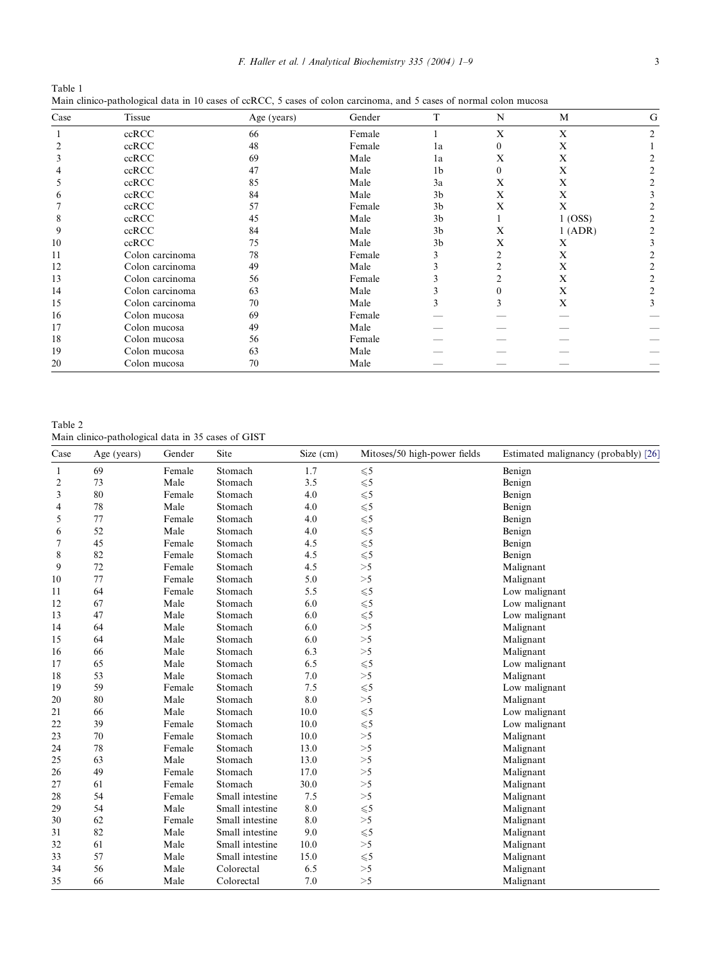<span id="page-2-0"></span>

| Table 1                                                                                                             |  |  |  |  |
|---------------------------------------------------------------------------------------------------------------------|--|--|--|--|
| Main clinico-pathological data in 10 cases of ccRCC, 5 cases of colon carcinoma, and 5 cases of normal colon mucosa |  |  |  |  |

| Case | Tissue          | Age (years) | Gender | T              | N        | M       | G                           |
|------|-----------------|-------------|--------|----------------|----------|---------|-----------------------------|
|      | ccRCC           | 66          | Female |                | X        | X       | $\mathcal{D}_{\mathcal{L}}$ |
|      | ccRCC           | 48          | Female | 1a             | $\Omega$ | X       |                             |
|      | ccRCC           | 69          | Male   | 1a             | X        | X       |                             |
|      | ccRCC           | 47          | Male   | 1 <sub>b</sub> | $\Omega$ | X       |                             |
|      | ccRCC           | 85          | Male   | 3a             | X        | X       |                             |
|      | ccRCC           | 84          | Male   | 3 <sub>b</sub> | X        | X       |                             |
|      | ccRCC           | 57          | Female | 3 <sub>b</sub> | X        | X       |                             |
| 8    | ccRCC           | 45          | Male   | 3 <sub>b</sub> |          | 1 (OSS) |                             |
| 9    | ccRCC           | 84          | Male   | 3 <sub>b</sub> | X        | 1 (ADR) |                             |
| 10   | ccRCC           | 75          | Male   | 3 <sub>b</sub> | X        | X       |                             |
| 11   | Colon carcinoma | 78          | Female |                |          | X       |                             |
| 12   | Colon carcinoma | 49          | Male   |                |          | X       |                             |
| 13   | Colon carcinoma | 56          | Female |                |          | X       |                             |
| 14   | Colon carcinoma | 63          | Male   |                |          | X       |                             |
| 15   | Colon carcinoma | 70          | Male   |                | 3        | X       | 3                           |
| 16   | Colon mucosa    | 69          | Female |                |          |         |                             |
| 17   | Colon mucosa    | 49          | Male   |                |          |         |                             |
| 18   | Colon mucosa    | 56          | Female |                |          |         |                             |
| 19   | Colon mucosa    | 63          | Male   |                |          |         |                             |
| 20   | Colon mucosa    | 70          | Male   |                |          |         |                             |

Table 2

Main clinico-pathological data in 35 cases of GIST

| Case           | Age (years) | Gender | Site            | Size (cm) | Mitoses/50 high-power fields | Estimated malignancy (probably) [26] |
|----------------|-------------|--------|-----------------|-----------|------------------------------|--------------------------------------|
| $\mathbf{1}$   | 69          | Female | Stomach         | 1.7       | ${\leq}5$                    | Benign                               |
| $\overline{c}$ | 73          | Male   | Stomach         | 3.5       | $\leqslant$ 5                | Benign                               |
| 3              | 80          | Female | Stomach         | 4.0       | $\leqslant$ 5                | Benign                               |
| 4              | 78          | Male   | Stomach         | 4.0       | $\leqslant$ 5                | Benign                               |
| 5              | 77          | Female | Stomach         | 4.0       | $\leq 5$                     | Benign                               |
| 6              | 52          | Male   | Stomach         | 4.0       | $\leq 5$                     | Benign                               |
| 7              | 45          | Female | Stomach         | 4.5       | $\leqslant$ 5                | Benign                               |
| 8              | 82          | Female | Stomach         | 4.5       | $\leqslant$ 5                | Benign                               |
| 9              | 72          | Female | Stomach         | 4.5       | >5                           | Malignant                            |
| 10             | 77          | Female | Stomach         | 5.0       | >5                           | Malignant                            |
| 11             | 64          | Female | Stomach         | 5.5       | $\leqslant$ 5                | Low malignant                        |
| 12             | 67          | Male   | Stomach         | 6.0       | $\leqslant$ 5                | Low malignant                        |
| 13             | 47          | Male   | Stomach         | 6.0       | $\leqslant$ 5                | Low malignant                        |
| 14             | 64          | Male   | Stomach         | 6.0       | >5                           | Malignant                            |
| 15             | 64          | Male   | Stomach         | 6.0       | >5                           | Malignant                            |
| 16             | 66          | Male   | Stomach         | 6.3       | >5                           | Malignant                            |
| 17             | 65          | Male   | Stomach         | 6.5       | $\leqslant$ 5                | Low malignant                        |
| 18             | 53          | Male   | Stomach         | 7.0       | >5                           | Malignant                            |
| 19             | 59          | Female | Stomach         | 7.5       | $\leqslant 5$                | Low malignant                        |
| 20             | 80          | Male   | Stomach         | 8.0       | >5                           | Malignant                            |
| 21             | 66          | Male   | Stomach         | 10.0      | $\leqslant$ 5                | Low malignant                        |
| 22             | 39          | Female | Stomach         | 10.0      | $\leqslant$ 5                | Low malignant                        |
| 23             | 70          | Female | Stomach         | 10.0      | >5                           | Malignant                            |
| 24             | 78          | Female | Stomach         | 13.0      | >5                           | Malignant                            |
| 25             | 63          | Male   | Stomach         | 13.0      | >5                           | Malignant                            |
| 26             | 49          | Female | Stomach         | 17.0      | >5                           | Malignant                            |
| 27             | 61          | Female | Stomach         | 30.0      | >5                           | Malignant                            |
| 28             | 54          | Female | Small intestine | 7.5       | >5                           | Malignant                            |
| 29             | 54          | Male   | Small intestine | 8.0       | $\leqslant$ 5                | Malignant                            |
| 30             | 62          | Female | Small intestine | 8.0       | >5                           | Malignant                            |
| 31             | 82          | Male   | Small intestine | 9.0       | $\leqslant$ 5                | Malignant                            |
| 32             | 61          | Male   | Small intestine | 10.0      | >5                           | Malignant                            |
| 33             | 57          | Male   | Small intestine | 15.0      | $\leqslant$ 5                | Malignant                            |
| 34             | 56          | Male   | Colorectal      | 6.5       | >5                           | Malignant                            |
| 35             | 66          | Male   | Colorectal      | 7.0       | >5                           | Malignant                            |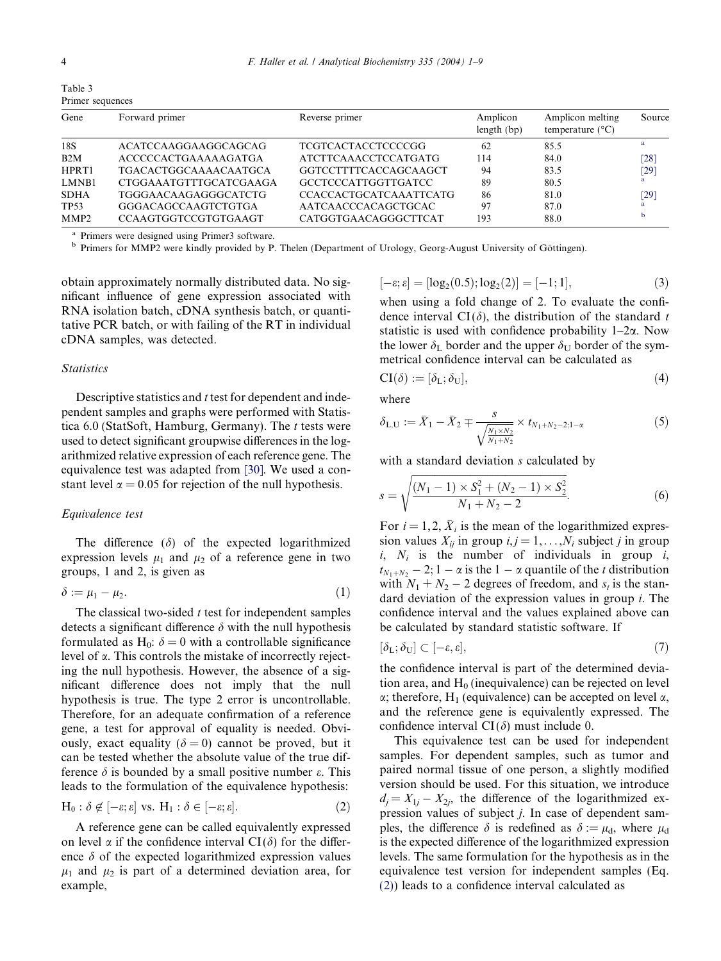<span id="page-3-0"></span>

| ï |
|---|
|   |

| Primer sequences |                               |                               |                         |                                               |        |  |  |
|------------------|-------------------------------|-------------------------------|-------------------------|-----------------------------------------------|--------|--|--|
| Gene             | Forward primer                | Reverse primer                | Amplicon<br>length (bp) | Amplicon melting<br>temperature $(^{\circ}C)$ | Source |  |  |
| 18S              | ACATCCAAGGAAGGCAGCAG          | <b>TCGTCACTACCTCCCCGG</b>     | 62                      | 85.5                                          | a      |  |  |
| B2M              | <b>ACCCCCACTGAAAAAGATGA</b>   | ATCTTCAAACCTCCATGATG          | 114                     | 84.0                                          | [28]   |  |  |
| HPRT1            | <b>TGACACTGGCAAAACAATGCA</b>  | GGTCCTTTTCACCAGCAAGCT         | 94                      | 83.5                                          | $[29]$ |  |  |
| LMNB1            | <b>CTGGAAATGTTTGCATCGAAGA</b> | GCCTCCCATTGGTTGATCC           | 89                      | 80.5                                          |        |  |  |
| <b>SDHA</b>      | TGGGAACAAGAGGGCATCTG          | <b>CCACCACTGCATCAAATTCATG</b> | 86                      | 81.0                                          | $[29]$ |  |  |
| TP53             | <b>GGGACAGCCAAGTCTGTGA</b>    | AATCAACCCACAGCTGCAC           | 97                      | 87.0                                          | a      |  |  |
| MMP <sub>2</sub> | <b>CCAAGTGGTCCGTGTGAAGT</b>   | CATGGTGAACAGGGCTTCAT          | 193                     | 88.0                                          |        |  |  |

Table 3

a Primers were designed using Primer3 software.<br><sup>b</sup> Primers for MMP2 were kindly provided by P. Thelen (Department of Urology, Georg-August University of Göttingen).

obtain approximately normally distributed data. No significant influence of gene expression associated with RNA isolation batch, cDNA synthesis batch, or quantitative PCR batch, or with failing of the RT in individual cDNA samples, was detected.

### Statistics

Descriptive statistics and  $t$  test for dependent and independent samples and graphs were performed with Statistica 6.0 (StatSoft, Hamburg, Germany). The  $t$  tests were used to detect significant groupwise differences in the logarithmized relative expression of each reference gene. The equivalence test was adapted from [\[30\]](#page-8-0). We used a constant level  $\alpha = 0.05$  for rejection of the null hypothesis.

#### Equivalence test

The difference  $(\delta)$  of the expected logarithmized expression levels  $\mu_1$  and  $\mu_2$  of a reference gene in two groups, 1 and 2, is given as

$$
\delta := \mu_1 - \mu_2. \tag{1}
$$

The classical two-sided  $t$  test for independent samples detects a significant difference  $\delta$  with the null hypothesis formulated as H<sub>0</sub>:  $\delta = 0$  with a controllable significance level of  $\alpha$ . This controls the mistake of incorrectly rejecting the null hypothesis. However, the absence of a significant difference does not imply that the null hypothesis is true. The type 2 error is uncontrollable. Therefore, for an adequate confirmation of a reference gene, a test for approval of equality is needed. Obviously, exact equality ( $\delta = 0$ ) cannot be proved, but it can be tested whether the absolute value of the true difference  $\delta$  is bounded by a small positive number  $\varepsilon$ . This leads to the formulation of the equivalence hypothesis:

$$
H_0: \delta \notin [-\varepsilon; \varepsilon] \text{ vs. } H_1: \delta \in [-\varepsilon; \varepsilon]. \tag{2}
$$

A reference gene can be called equivalently expressed on level  $\alpha$  if the confidence interval  $CI(\delta)$  for the difference  $\delta$  of the expected logarithmized expression values  $\mu_1$  and  $\mu_2$  is part of a determined deviation area, for example,

$$
[-\varepsilon; \varepsilon] = [\log_2(0.5); \log_2(2)] = [-1; 1], \tag{3}
$$

when using a fold change of 2. To evaluate the confidence interval  $CI(\delta)$ , the distribution of the standard t statistic is used with confidence probability  $1-2\alpha$ . Now the lower  $\delta_{\text{L}}$  border and the upper  $\delta_{\text{U}}$  border of the symmetrical confidence interval can be calculated as

$$
CI(\delta) := [\delta_{L}; \delta_{U}], \tag{4}
$$

where

$$
\delta_{L,U} := \bar{X}_1 - \bar{X}_2 \mp \frac{s}{\sqrt{\frac{N_1 \times N_2}{N_1 + N_2}}} \times t_{N_1 + N_2 - 2; 1 - \alpha} \tag{5}
$$

with a standard deviation s calculated by

$$
s = \sqrt{\frac{(N_1 - 1) \times S_1^2 + (N_2 - 1) \times S_2^2}{N_1 + N_2 - 2}}.
$$
\n
$$
(6)
$$

For  $i = 1, 2, \overline{X}_i$  is the mean of the logarithmized expression values  $X_{ii}$  in group  $i, j = 1, \ldots, N_i$  subject j in group  $i, N_i$  is the number of individuals in group  $i$ ,  $t_{N_1+N_2}$  – 2; 1 –  $\alpha$  is the 1 –  $\alpha$  quantile of the t distribution with  $N_1 + N_2 - 2$  degrees of freedom, and  $s_i$  is the standard deviation of the expression values in group i. The confidence interval and the values explained above can be calculated by standard statistic software. If

$$
[\delta_{\mathcal{L}}; \delta_{\mathcal{U}}] \subset [-\varepsilon, \varepsilon],\tag{7}
$$

the confidence interval is part of the determined deviation area, and  $H_0$  (inequivalence) can be rejected on level  $\alpha$ ; therefore, H<sub>1</sub> (equivalence) can be accepted on level  $\alpha$ , and the reference gene is equivalently expressed. The confidence interval  $CI(\delta)$  must include 0.

This equivalence test can be used for independent samples. For dependent samples, such as tumor and paired normal tissue of one person, a slightly modified version should be used. For this situation, we introduce  $d_i = X_{1i} - X_{2i}$ , the difference of the logarithmized expression values of subject j. In case of dependent samples, the difference  $\delta$  is redefined as  $\delta := \mu_d$ , where  $\mu_d$ is the expected difference of the logarithmized expression levels. The same formulation for the hypothesis as in the equivalence test version for independent samples (Eq. (2)) leads to a confidence interval calculated as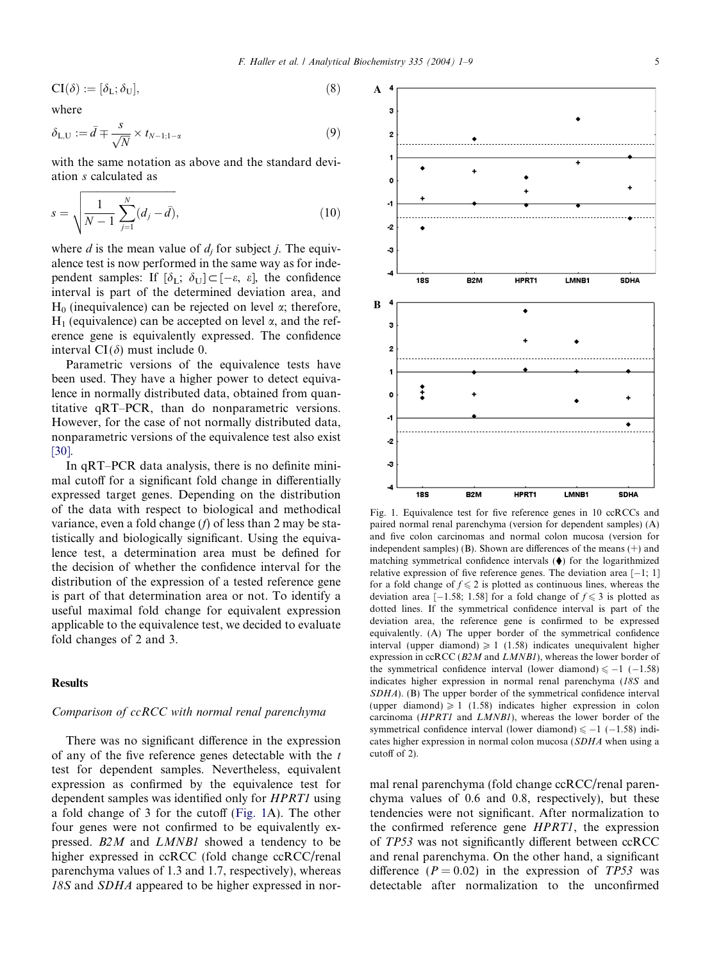A

 $\overline{a}$ 

<span id="page-4-0"></span>
$$
CI(\delta) := [\delta_{L}; \delta_{U}], \tag{8}
$$

where

$$
\delta_{L,U} := \bar{d} \mp \frac{s}{\sqrt{N}} \times t_{N-1;1-\alpha} \tag{9}
$$

with the same notation as above and the standard deviation s calculated as

$$
s = \sqrt{\frac{1}{N-1} \sum_{j=1}^{N} (d_j - \bar{d})},
$$
\n(10)

where d is the mean value of  $d_i$  for subject j. The equivalence test is now performed in the same way as for independent samples: If  $[\delta_{\text{L}}; \delta_{\text{U}}] \subset [-\varepsilon, \varepsilon]$ , the confidence interval is part of the determined deviation area, and  $H_0$  (inequivalence) can be rejected on level  $\alpha$ ; therefore,  $H_1$  (equivalence) can be accepted on level  $\alpha$ , and the reference gene is equivalently expressed. The confidence interval  $CI(\delta)$  must include 0.

Parametric versions of the equivalence tests have been used. They have a higher power to detect equivalence in normally distributed data, obtained from quantitative qRT–PCR, than do nonparametric versions. However, for the case of not normally distributed data, nonparametric versions of the equivalence test also exist [\[30\].](#page-8-0)

In qRT–PCR data analysis, there is no definite minimal cutoff for a significant fold change in differentially expressed target genes. Depending on the distribution of the data with respect to biological and methodical variance, even a fold change  $(f)$  of less than 2 may be statistically and biologically significant. Using the equivalence test, a determination area must be defined for the decision of whether the confidence interval for the distribution of the expression of a tested reference gene is part of that determination area or not. To identify a useful maximal fold change for equivalent expression applicable to the equivalence test, we decided to evaluate fold changes of 2 and 3.

# **Results**

# Comparison of ccRCC with normal renal parenchyma

There was no significant difference in the expression of any of the five reference genes detectable with the  $t$ test for dependent samples. Nevertheless, equivalent expression as confirmed by the equivalence test for dependent samples was identified only for HPRT1 using a fold change of 3 for the cutoff (Fig. 1A). The other four genes were not confirmed to be equivalently expressed. B2M and LMNB1 showed a tendency to be higher expressed in ccRCC (fold change ccRCC/renal parenchyma values of 1.3 and 1.7, respectively), whereas 18S and SDHA appeared to be higher expressed in nor-

 $\overline{2}$  $\overline{1}$ z  $\bullet$  $\overline{A}$ . . . . . . . . . . . . . . .  $-2$ -3  $B2M$ HPRT1 **SDHA** 189 LMNB1  $\bf{B}$  $\overline{\phantom{a}}$  $\bullet$  $\overline{a}$  $\overline{2}$  $\mathbf{1}$  $\ddagger$  $\bullet$  $-1$  $\bullet$  $\overline{2}$ -3  $\overline{185}$  $B2M$ HPRT1 LMNB1 **SDHA** Fig. 1. Equivalence test for five reference genes in 10 ccRCCs and paired normal renal parenchyma (version for dependent samples) (A)

and five colon carcinomas and normal colon mucosa (version for independent samples) (B). Shown are differences of the means  $(+)$  and matching symmetrical confidence intervals  $(\blacklozenge)$  for the logarithmized relative expression of five reference genes. The deviation area  $[-1; 1]$ for a fold change of  $f \leq 2$  is plotted as continuous lines, whereas the deviation area  $[-1.58; 1.58]$  for a fold change of  $f \le 3$  is plotted as dotted lines. If the symmetrical confidence interval is part of the deviation area, the reference gene is confirmed to be expressed equivalently. (A) The upper border of the symmetrical confidence interval (upper diamond)  $\geq 1$  (1.58) indicates unequivalent higher expression in  $c\text{cRCC}$  ( $B2M$  and  $LMNBI$ ), whereas the lower border of the symmetrical confidence interval (lower diamond)  $\le -1$  (-1.58) indicates higher expression in normal renal parenchyma (18S and SDHA). (B) The upper border of the symmetrical confidence interval (upper diamond)  $\geq 1$  (1.58) indicates higher expression in colon carcinoma (HPRT1 and LMNB1), whereas the lower border of the symmetrical confidence interval (lower diamond)  $\le -1$  (-1.58) indicates higher expression in normal colon mucosa (SDHA when using a cutoff of 2).

mal renal parenchyma (fold change ccRCC/renal parenchyma values of 0.6 and 0.8, respectively), but these tendencies were not significant. After normalization to the confirmed reference gene HPRT1, the expression of TP53 was not significantly different between ccRCC and renal parenchyma. On the other hand, a significant difference  $(P = 0.02)$  in the expression of TP53 was detectable after normalization to the unconfirmed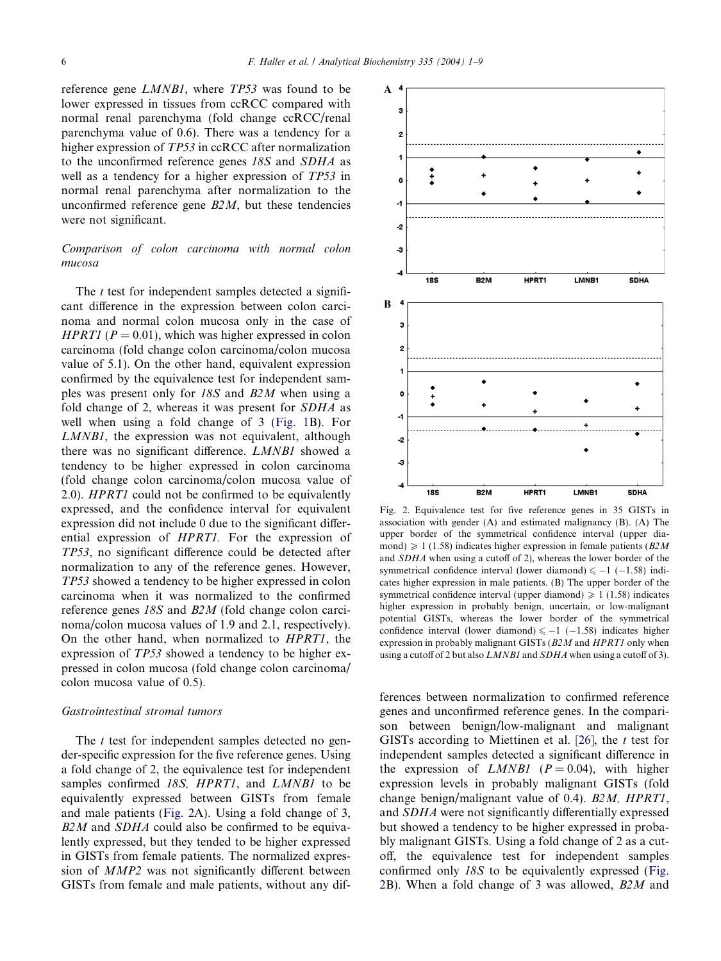reference gene LMNB1, where TP53 was found to be lower expressed in tissues from ccRCC compared with normal renal parenchyma (fold change ccRCC/renal parenchyma value of 0.6). There was a tendency for a higher expression of TP53 in ccRCC after normalization to the unconfirmed reference genes 18S and SDHA as well as a tendency for a higher expression of TP53 in normal renal parenchyma after normalization to the unconfirmed reference gene  $B2M$ , but these tendencies were not significant.

# Comparison of colon carcinoma with normal colon mucosa

The  $t$  test for independent samples detected a significant difference in the expression between colon carcinoma and normal colon mucosa only in the case of HPRT1 ( $P = 0.01$ ), which was higher expressed in colon carcinoma (fold change colon carcinoma/colon mucosa value of 5.1). On the other hand, equivalent expression confirmed by the equivalence test for independent samples was present only for 18S and B2M when using a fold change of 2, whereas it was present for SDHA as well when using a fold change of 3 ([Fig. 1](#page-4-0)B). For LMNB1, the expression was not equivalent, although there was no significant difference. LMNB1 showed a tendency to be higher expressed in colon carcinoma (fold change colon carcinoma/colon mucosa value of 2.0). HPRT1 could not be confirmed to be equivalently expressed, and the confidence interval for equivalent expression did not include 0 due to the significant differential expression of HPRT1. For the expression of TP53, no significant difference could be detected after normalization to any of the reference genes. However, TP53 showed a tendency to be higher expressed in colon carcinoma when it was normalized to the confirmed reference genes 18S and B2M (fold change colon carcinoma/colon mucosa values of 1.9 and 2.1, respectively). On the other hand, when normalized to HPRT1, the expression of TP53 showed a tendency to be higher expressed in colon mucosa (fold change colon carcinoma/ colon mucosa value of 0.5).

#### Gastrointestinal stromal tumors

The  $t$  test for independent samples detected no gender-specific expression for the five reference genes. Using a fold change of 2, the equivalence test for independent samples confirmed 18S, HPRT1, and LMNB1 to be equivalently expressed between GISTs from female and male patients (Fig. 2A). Using a fold change of 3,  $B2M$  and  $SDHA$  could also be confirmed to be equivalently expressed, but they tended to be higher expressed in GISTs from female patients. The normalized expression of MMP2 was not significantly different between GISTs from female and male patients, without any dif-



Fig. 2. Equivalence test for five reference genes in 35 GISTs in association with gender (A) and estimated malignancy (B). (A) The upper border of the symmetrical confidence interval (upper diamond)  $\geq 1$  (1.58) indicates higher expression in female patients (*B2M* and SDHA when using a cutoff of 2), whereas the lower border of the symmetrical confidence interval (lower diamond)  $\le -1$  (-1.58) indicates higher expression in male patients. (B) The upper border of the symmetrical confidence interval (upper diamond)  $\geq 1$  (1.58) indicates higher expression in probably benign, uncertain, or low-malignant potential GISTs, whereas the lower border of the symmetrical confidence interval (lower diamond)  $\le -1$  (-1.58) indicates higher expression in probably malignant GISTs (B2M and HPRT1 only when using a cutoff of 2 but also LMNB1 and SDHA when using a cutoff of 3).

ferences between normalization to confirmed reference genes and unconfirmed reference genes. In the comparison between benign/low-malignant and malignant GISTs according to Miettinen et al. [\[26\],](#page-7-0) the  $t$  test for independent samples detected a significant difference in the expression of *LMNB1* ( $P = 0.04$ ), with higher expression levels in probably malignant GISTs (fold change benign/malignant value of 0.4). B2M, HPRT1, and SDHA were not significantly differentially expressed but showed a tendency to be higher expressed in probably malignant GISTs. Using a fold change of 2 as a cutoff, the equivalence test for independent samples confirmed only 18S to be equivalently expressed (Fig. 2B). When a fold change of 3 was allowed, B2M and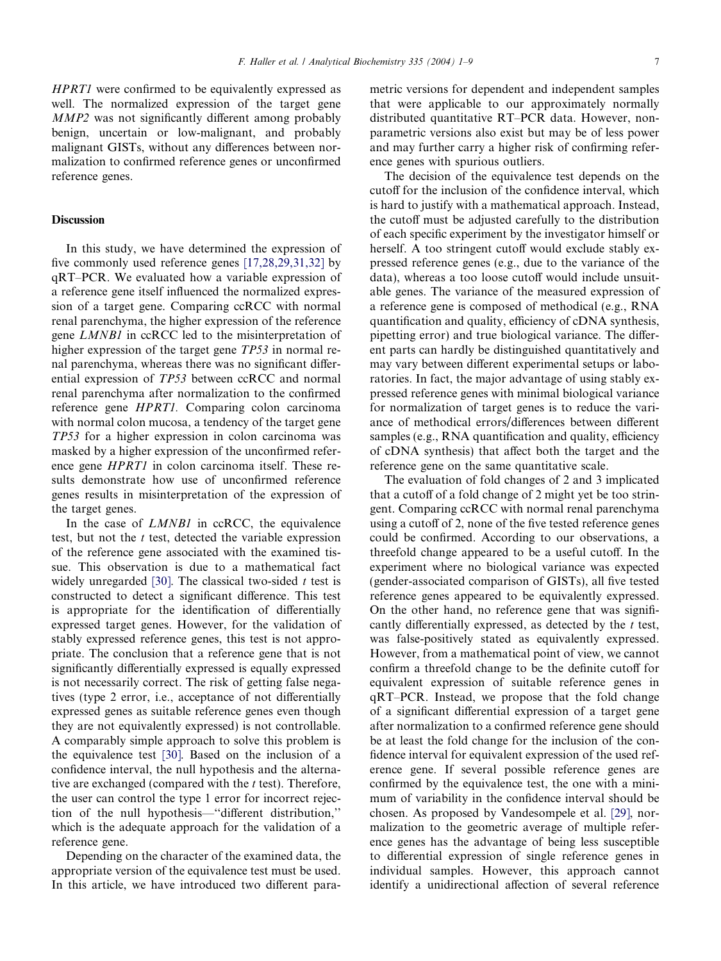HPRT1 were confirmed to be equivalently expressed as well. The normalized expression of the target gene MMP2 was not significantly different among probably benign, uncertain or low-malignant, and probably malignant GISTs, without any differences between normalization to confirmed reference genes or unconfirmed reference genes.

# **Discussion**

In this study, we have determined the expression of five commonly used reference genes [\[17,28,29,31,32\]](#page-7-0) by qRT–PCR. We evaluated how a variable expression of a reference gene itself influenced the normalized expression of a target gene. Comparing ccRCC with normal renal parenchyma, the higher expression of the reference gene LMNB1 in ccRCC led to the misinterpretation of higher expression of the target gene TP53 in normal renal parenchyma, whereas there was no significant differential expression of TP53 between ccRCC and normal renal parenchyma after normalization to the confirmed reference gene HPRT1. Comparing colon carcinoma with normal colon mucosa, a tendency of the target gene TP53 for a higher expression in colon carcinoma was masked by a higher expression of the unconfirmed reference gene HPRT1 in colon carcinoma itself. These results demonstrate how use of unconfirmed reference genes results in misinterpretation of the expression of the target genes.

In the case of *LMNB1* in ccRCC, the equivalence test, but not the  $t$  test, detected the variable expression of the reference gene associated with the examined tissue. This observation is due to a mathematical fact widely unregarded [\[30\].](#page-8-0) The classical two-sided  $t$  test is constructed to detect a significant difference. This test is appropriate for the identification of differentially expressed target genes. However, for the validation of stably expressed reference genes, this test is not appropriate. The conclusion that a reference gene that is not significantly differentially expressed is equally expressed is not necessarily correct. The risk of getting false negatives (type 2 error, i.e., acceptance of not differentially expressed genes as suitable reference genes even though they are not equivalently expressed) is not controllable. A comparably simple approach to solve this problem is the equivalence test [\[30\]](#page-8-0). Based on the inclusion of a confidence interval, the null hypothesis and the alternative are exchanged (compared with the  $t$  test). Therefore, the user can control the type 1 error for incorrect rejection of the null hypothesis—''different distribution,'' which is the adequate approach for the validation of a reference gene.

Depending on the character of the examined data, the appropriate version of the equivalence test must be used. In this article, we have introduced two different parametric versions for dependent and independent samples that were applicable to our approximately normally distributed quantitative RT–PCR data. However, nonparametric versions also exist but may be of less power and may further carry a higher risk of confirming reference genes with spurious outliers.

The decision of the equivalence test depends on the cutoff for the inclusion of the confidence interval, which is hard to justify with a mathematical approach. Instead, the cutoff must be adjusted carefully to the distribution of each specific experiment by the investigator himself or herself. A too stringent cutoff would exclude stably expressed reference genes (e.g., due to the variance of the data), whereas a too loose cutoff would include unsuitable genes. The variance of the measured expression of a reference gene is composed of methodical (e.g., RNA quantification and quality, efficiency of cDNA synthesis, pipetting error) and true biological variance. The different parts can hardly be distinguished quantitatively and may vary between different experimental setups or laboratories. In fact, the major advantage of using stably expressed reference genes with minimal biological variance for normalization of target genes is to reduce the variance of methodical errors/differences between different samples (e.g., RNA quantification and quality, efficiency of cDNA synthesis) that affect both the target and the reference gene on the same quantitative scale.

The evaluation of fold changes of 2 and 3 implicated that a cutoff of a fold change of 2 might yet be too stringent. Comparing ccRCC with normal renal parenchyma using a cutoff of 2, none of the five tested reference genes could be confirmed. According to our observations, a threefold change appeared to be a useful cutoff. In the experiment where no biological variance was expected (gender-associated comparison of GISTs), all five tested reference genes appeared to be equivalently expressed. On the other hand, no reference gene that was significantly differentially expressed, as detected by the  $t$  test, was false-positively stated as equivalently expressed. However, from a mathematical point of view, we cannot confirm a threefold change to be the definite cutoff for equivalent expression of suitable reference genes in qRT–PCR. Instead, we propose that the fold change of a significant differential expression of a target gene after normalization to a confirmed reference gene should be at least the fold change for the inclusion of the confidence interval for equivalent expression of the used reference gene. If several possible reference genes are confirmed by the equivalence test, the one with a minimum of variability in the confidence interval should be chosen. As proposed by Vandesompele et al. [\[29\]](#page-8-0), normalization to the geometric average of multiple reference genes has the advantage of being less susceptible to differential expression of single reference genes in individual samples. However, this approach cannot identify a unidirectional affection of several reference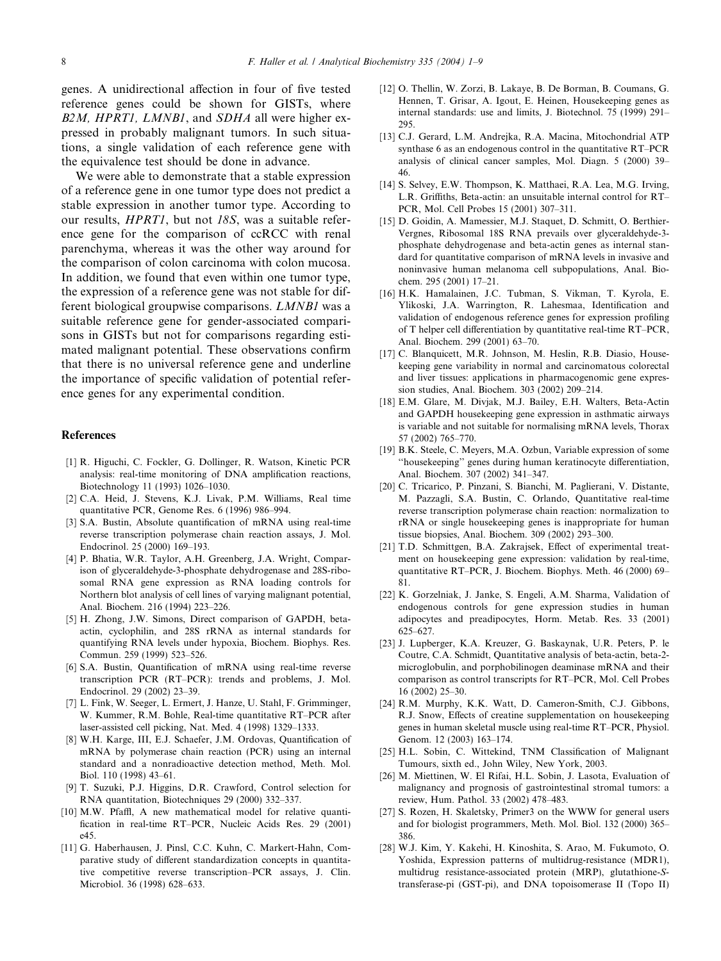<span id="page-7-0"></span>genes. A unidirectional affection in four of five tested reference genes could be shown for GISTs, where B2M, HPRT1, LMNB1, and SDHA all were higher expressed in probably malignant tumors. In such situations, a single validation of each reference gene with the equivalence test should be done in advance.

We were able to demonstrate that a stable expression of a reference gene in one tumor type does not predict a stable expression in another tumor type. According to our results, HPRT1, but not 18S, was a suitable reference gene for the comparison of ccRCC with renal parenchyma, whereas it was the other way around for the comparison of colon carcinoma with colon mucosa. In addition, we found that even within one tumor type, the expression of a reference gene was not stable for different biological groupwise comparisons. LMNB1 was a suitable reference gene for gender-associated comparisons in GISTs but not for comparisons regarding estimated malignant potential. These observations confirm that there is no universal reference gene and underline the importance of specific validation of potential reference genes for any experimental condition.

# References

- [1] R. Higuchi, C. Fockler, G. Dollinger, R. Watson, Kinetic PCR analysis: real-time monitoring of DNA amplification reactions, Biotechnology 11 (1993) 1026–1030.
- [2] C.A. Heid, J. Stevens, K.J. Livak, P.M. Williams, Real time quantitative PCR, Genome Res. 6 (1996) 986–994.
- [3] S.A. Bustin, Absolute quantification of mRNA using real-time reverse transcription polymerase chain reaction assays, J. Mol. Endocrinol. 25 (2000) 169–193.
- [4] P. Bhatia, W.R. Taylor, A.H. Greenberg, J.A. Wright, Comparison of glyceraldehyde-3-phosphate dehydrogenase and 28S-ribosomal RNA gene expression as RNA loading controls for Northern blot analysis of cell lines of varying malignant potential, Anal. Biochem. 216 (1994) 223–226.
- [5] H. Zhong, J.W. Simons, Direct comparison of GAPDH, betaactin, cyclophilin, and 28S rRNA as internal standards for quantifying RNA levels under hypoxia, Biochem. Biophys. Res. Commun. 259 (1999) 523–526.
- [6] S.A. Bustin, Quantification of mRNA using real-time reverse transcription PCR (RT–PCR): trends and problems, J. Mol. Endocrinol. 29 (2002) 23–39.
- [7] L. Fink, W. Seeger, L. Ermert, J. Hanze, U. Stahl, F. Grimminger, W. Kummer, R.M. Bohle, Real-time quantitative RT–PCR after laser-assisted cell picking, Nat. Med. 4 (1998) 1329–1333.
- [8] W.H. Karge, III, E.J. Schaefer, J.M. Ordovas, Quantification of mRNA by polymerase chain reaction (PCR) using an internal standard and a nonradioactive detection method, Meth. Mol. Biol. 110 (1998) 43–61.
- [9] T. Suzuki, P.J. Higgins, D.R. Crawford, Control selection for RNA quantitation, Biotechniques 29 (2000) 332–337.
- [10] M.W. Pfaffl, A new mathematical model for relative quantification in real-time RT–PCR, Nucleic Acids Res. 29 (2001) e45.
- [11] G. Haberhausen, J. Pinsl, C.C. Kuhn, C. Markert-Hahn, Comparative study of different standardization concepts in quantitative competitive reverse transcription–PCR assays, J. Clin. Microbiol. 36 (1998) 628–633.
- [12] O. Thellin, W. Zorzi, B. Lakaye, B. De Borman, B. Coumans, G. Hennen, T. Grisar, A. Igout, E. Heinen, Housekeeping genes as internal standards: use and limits, J. Biotechnol. 75 (1999) 291– 295.
- [13] C.J. Gerard, L.M. Andrejka, R.A. Macina, Mitochondrial ATP synthase 6 as an endogenous control in the quantitative RT–PCR analysis of clinical cancer samples, Mol. Diagn. 5 (2000) 39– 46.
- [14] S. Selvey, E.W. Thompson, K. Matthaei, R.A. Lea, M.G. Irving, L.R. Griffiths, Beta-actin: an unsuitable internal control for RT– PCR, Mol. Cell Probes 15 (2001) 307–311.
- [15] D. Goidin, A. Mamessier, M.J. Staquet, D. Schmitt, O. Berthier-Vergnes, Ribosomal 18S RNA prevails over glyceraldehyde-3 phosphate dehydrogenase and beta-actin genes as internal standard for quantitative comparison of mRNA levels in invasive and noninvasive human melanoma cell subpopulations, Anal. Biochem. 295 (2001) 17–21.
- [16] H.K. Hamalainen, J.C. Tubman, S. Vikman, T. Kyrola, E. Ylikoski, J.A. Warrington, R. Lahesmaa, Identification and validation of endogenous reference genes for expression profiling of T helper cell differentiation by quantitative real-time RT–PCR, Anal. Biochem. 299 (2001) 63–70.
- [17] C. Blanquicett, M.R. Johnson, M. Heslin, R.B. Diasio, Housekeeping gene variability in normal and carcinomatous colorectal and liver tissues: applications in pharmacogenomic gene expression studies, Anal. Biochem. 303 (2002) 209–214.
- [18] E.M. Glare, M. Divjak, M.J. Bailey, E.H. Walters, Beta-Actin and GAPDH housekeeping gene expression in asthmatic airways is variable and not suitable for normalising mRNA levels, Thorax 57 (2002) 765–770.
- [19] B.K. Steele, C. Meyers, M.A. Ozbun, Variable expression of some ''housekeeping'' genes during human keratinocyte differentiation, Anal. Biochem. 307 (2002) 341–347.
- [20] C. Tricarico, P. Pinzani, S. Bianchi, M. Paglierani, V. Distante, M. Pazzagli, S.A. Bustin, C. Orlando, Quantitative real-time reverse transcription polymerase chain reaction: normalization to rRNA or single housekeeping genes is inappropriate for human tissue biopsies, Anal. Biochem. 309 (2002) 293–300.
- [21] T.D. Schmittgen, B.A. Zakrajsek, Effect of experimental treatment on housekeeping gene expression: validation by real-time, quantitative RT–PCR, J. Biochem. Biophys. Meth. 46 (2000) 69– 81.
- [22] K. Gorzelniak, J. Janke, S. Engeli, A.M. Sharma, Validation of endogenous controls for gene expression studies in human adipocytes and preadipocytes, Horm. Metab. Res. 33 (2001) 625–627.
- [23] J. Lupberger, K.A. Kreuzer, G. Baskaynak, U.R. Peters, P. le Coutre, C.A. Schmidt, Quantitative analysis of beta-actin, beta-2 microglobulin, and porphobilinogen deaminase mRNA and their comparison as control transcripts for RT–PCR, Mol. Cell Probes 16 (2002) 25–30.
- [24] R.M. Murphy, K.K. Watt, D. Cameron-Smith, C.J. Gibbons, R.J. Snow, Effects of creatine supplementation on housekeeping genes in human skeletal muscle using real-time RT–PCR, Physiol. Genom. 12 (2003) 163–174.
- [25] H.L. Sobin, C. Wittekind, TNM Classification of Malignant Tumours, sixth ed., John Wiley, New York, 2003.
- [26] M. Miettinen, W. El Rifai, H.L. Sobin, J. Lasota, Evaluation of malignancy and prognosis of gastrointestinal stromal tumors: a review, Hum. Pathol. 33 (2002) 478–483.
- [27] S. Rozen, H. Skaletsky, Primer3 on the WWW for general users and for biologist programmers, Meth. Mol. Biol. 132 (2000) 365– 386.
- [28] W.J. Kim, Y. Kakehi, H. Kinoshita, S. Arao, M. Fukumoto, O. Yoshida, Expression patterns of multidrug-resistance (MDR1), multidrug resistance-associated protein (MRP), glutathione-Stransferase-pi (GST-pi), and DNA topoisomerase II (Topo II)